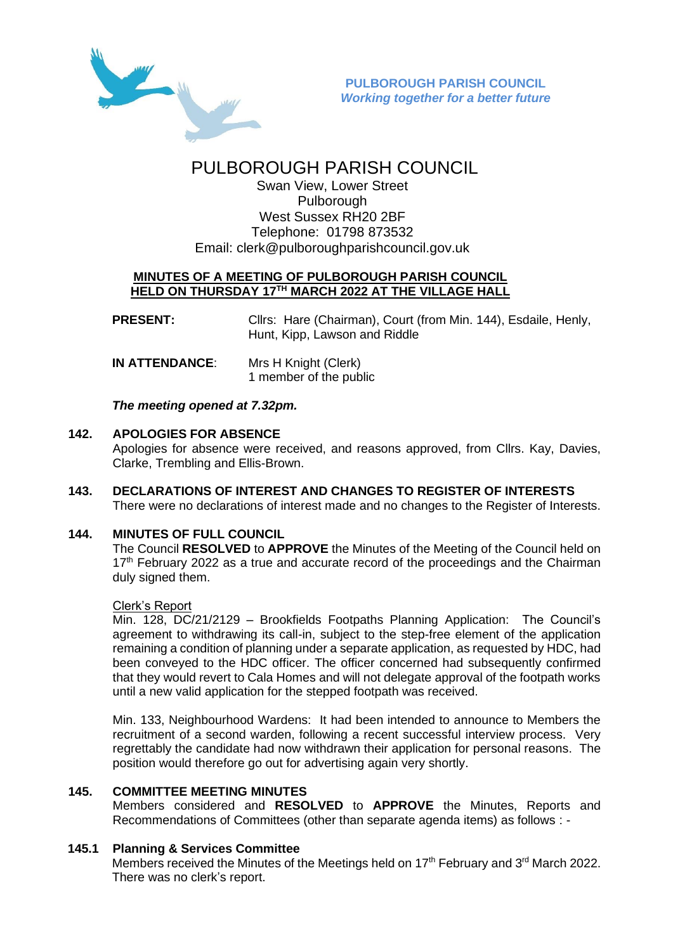

# PULBOROUGH PARISH COUNCIL

Swan View, Lower Street Pulborough West Sussex RH20 2BF Telephone: 01798 873532 Email: [clerk@pulboroughparishcouncil.gov.uk](mailto:clerk@pulboroughparishcouncil.gov.uk)

## **MINUTES OF A MEETING OF PULBOROUGH PARISH COUNCIL HELD ON THURSDAY 17TH MARCH 2022 AT THE VILLAGE HALL**

**PRESENT:** Clirs: Hare (Chairman), Court (from Min. 144), Esdaile, Henly, Hunt, Kipp, Lawson and Riddle

| <b>IN ATTENDANCE:</b> | Mrs H Knight (Clerk)   |
|-----------------------|------------------------|
|                       | 1 member of the public |

*The meeting opened at 7.32pm.*

#### **142. APOLOGIES FOR ABSENCE**

Apologies for absence were received, and reasons approved, from Cllrs. Kay, Davies, Clarke, Trembling and Ellis-Brown.

**143. DECLARATIONS OF INTEREST AND CHANGES TO REGISTER OF INTERESTS** There were no declarations of interest made and no changes to the Register of Interests.

## **144. MINUTES OF FULL COUNCIL**

The Council **RESOLVED** to **APPROVE** the Minutes of the Meeting of the Council held on  $17<sup>th</sup>$  February 2022 as a true and accurate record of the proceedings and the Chairman duly signed them.

#### Clerk's Report

Min. 128, DC/21/2129 – Brookfields Footpaths Planning Application: The Council's agreement to withdrawing its call-in, subject to the step-free element of the application remaining a condition of planning under a separate application, as requested by HDC, had been conveyed to the HDC officer. The officer concerned had subsequently confirmed that they would revert to Cala Homes and will not delegate approval of the footpath works until a new valid application for the stepped footpath was received.

Min. 133, Neighbourhood Wardens: It had been intended to announce to Members the recruitment of a second warden, following a recent successful interview process. Very regrettably the candidate had now withdrawn their application for personal reasons. The position would therefore go out for advertising again very shortly.

#### **145. COMMITTEE MEETING MINUTES**

Members considered and **RESOLVED** to **APPROVE** the Minutes, Reports and Recommendations of Committees (other than separate agenda items) as follows : -

#### **145.1 Planning & Services Committee**

Members received the Minutes of the Meetings held on 17<sup>th</sup> February and 3<sup>rd</sup> March 2022. There was no clerk's report.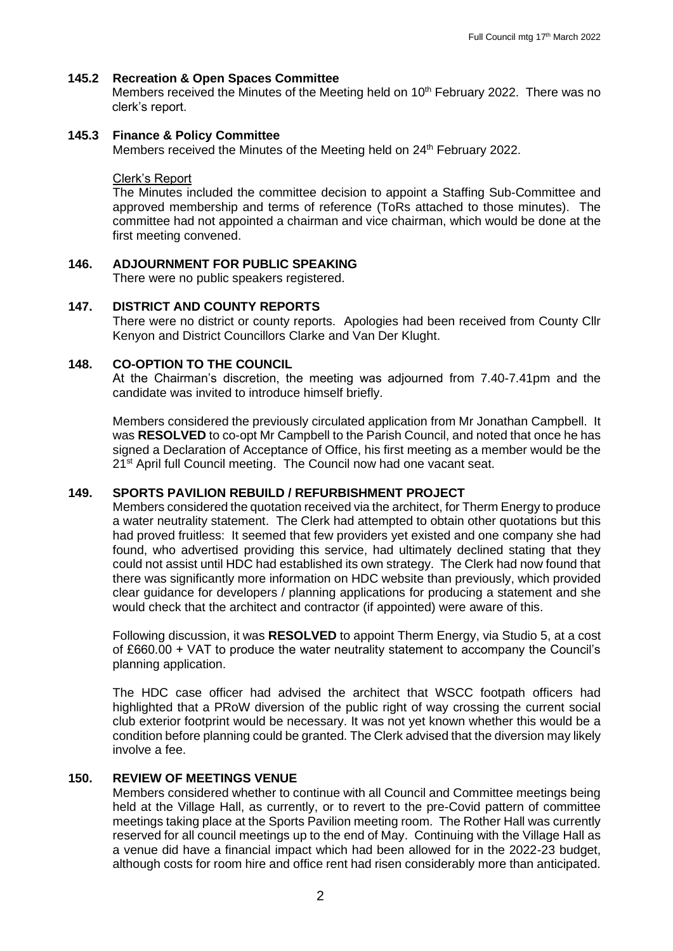## **145.2 Recreation & Open Spaces Committee**

Members received the Minutes of the Meeting held on 10<sup>th</sup> February 2022. There was no clerk's report.

## **145.3 Finance & Policy Committee**

Members received the Minutes of the Meeting held on 24<sup>th</sup> February 2022.

#### Clerk's Report

The Minutes included the committee decision to appoint a Staffing Sub-Committee and approved membership and terms of reference (ToRs attached to those minutes). The committee had not appointed a chairman and vice chairman, which would be done at the first meeting convened.

## **146. ADJOURNMENT FOR PUBLIC SPEAKING**

There were no public speakers registered.

## **147. DISTRICT AND COUNTY REPORTS**

There were no district or county reports. Apologies had been received from County Cllr Kenyon and District Councillors Clarke and Van Der Klught.

## **148. CO-OPTION TO THE COUNCIL**

At the Chairman's discretion, the meeting was adjourned from 7.40-7.41pm and the candidate was invited to introduce himself briefly.

Members considered the previously circulated application from Mr Jonathan Campbell. It was **RESOLVED** to co-opt Mr Campbell to the Parish Council, and noted that once he has signed a Declaration of Acceptance of Office, his first meeting as a member would be the 21<sup>st</sup> April full Council meeting. The Council now had one vacant seat.

#### **149. SPORTS PAVILION REBUILD / REFURBISHMENT PROJECT**

Members considered the quotation received via the architect, for Therm Energy to produce a water neutrality statement. The Clerk had attempted to obtain other quotations but this had proved fruitless: It seemed that few providers yet existed and one company she had found, who advertised providing this service, had ultimately declined stating that they could not assist until HDC had established its own strategy. The Clerk had now found that there was significantly more information on HDC website than previously, which provided clear guidance for developers / planning applications for producing a statement and she would check that the architect and contractor (if appointed) were aware of this.

Following discussion, it was **RESOLVED** to appoint Therm Energy, via Studio 5, at a cost of £660.00 + VAT to produce the water neutrality statement to accompany the Council's planning application.

The HDC case officer had advised the architect that WSCC footpath officers had highlighted that a PRoW diversion of the public right of way crossing the current social club exterior footprint would be necessary. It was not yet known whether this would be a condition before planning could be granted. The Clerk advised that the diversion may likely involve a fee.

# **150. REVIEW OF MEETINGS VENUE**

Members considered whether to continue with all Council and Committee meetings being held at the Village Hall, as currently, or to revert to the pre-Covid pattern of committee meetings taking place at the Sports Pavilion meeting room. The Rother Hall was currently reserved for all council meetings up to the end of May. Continuing with the Village Hall as a venue did have a financial impact which had been allowed for in the 2022-23 budget, although costs for room hire and office rent had risen considerably more than anticipated.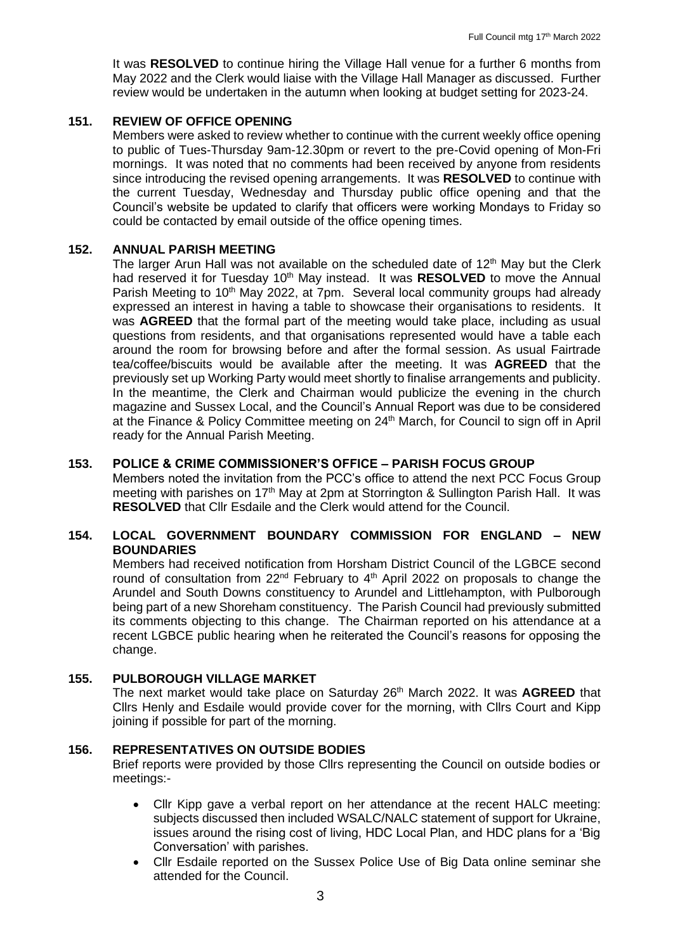It was **RESOLVED** to continue hiring the Village Hall venue for a further 6 months from May 2022 and the Clerk would liaise with the Village Hall Manager as discussed. Further review would be undertaken in the autumn when looking at budget setting for 2023-24.

#### **151. REVIEW OF OFFICE OPENING**

Members were asked to review whether to continue with the current weekly office opening to public of Tues-Thursday 9am-12.30pm or revert to the pre-Covid opening of Mon-Fri mornings. It was noted that no comments had been received by anyone from residents since introducing the revised opening arrangements. It was **RESOLVED** to continue with the current Tuesday, Wednesday and Thursday public office opening and that the Council's website be updated to clarify that officers were working Mondays to Friday so could be contacted by email outside of the office opening times.

#### **152. ANNUAL PARISH MEETING**

The larger Arun Hall was not available on the scheduled date of  $12<sup>th</sup>$  May but the Clerk had reserved it for Tuesday 10<sup>th</sup> May instead. It was **RESOLVED** to move the Annual Parish Meeting to 10<sup>th</sup> May 2022, at 7pm. Several local community groups had already expressed an interest in having a table to showcase their organisations to residents. It was **AGREED** that the formal part of the meeting would take place, including as usual questions from residents, and that organisations represented would have a table each around the room for browsing before and after the formal session. As usual Fairtrade tea/coffee/biscuits would be available after the meeting. It was **AGREED** that the previously set up Working Party would meet shortly to finalise arrangements and publicity. In the meantime, the Clerk and Chairman would publicize the evening in the church magazine and Sussex Local, and the Council's Annual Report was due to be considered at the Finance & Policy Committee meeting on 24<sup>th</sup> March, for Council to sign off in April ready for the Annual Parish Meeting.

#### **153. POLICE & CRIME COMMISSIONER'S OFFICE – PARISH FOCUS GROUP**

Members noted the invitation from the PCC's office to attend the next PCC Focus Group meeting with parishes on 17<sup>th</sup> May at 2pm at Storrington & Sullington Parish Hall. It was **RESOLVED** that Cllr Esdaile and the Clerk would attend for the Council.

#### **154. LOCAL GOVERNMENT BOUNDARY COMMISSION FOR ENGLAND – NEW BOUNDARIES**

Members had received notification from Horsham District Council of the LGBCE second round of consultation from 22<sup>nd</sup> February to 4<sup>th</sup> April 2022 on proposals to change the Arundel and South Downs constituency to Arundel and Littlehampton, with Pulborough being part of a new Shoreham constituency. The Parish Council had previously submitted its comments objecting to this change. The Chairman reported on his attendance at a recent LGBCE public hearing when he reiterated the Council's reasons for opposing the change.

#### **155. PULBOROUGH VILLAGE MARKET**

The next market would take place on Saturday 26th March 2022. It was **AGREED** that Cllrs Henly and Esdaile would provide cover for the morning, with Cllrs Court and Kipp joining if possible for part of the morning.

#### **156. REPRESENTATIVES ON OUTSIDE BODIES**

Brief reports were provided by those Cllrs representing the Council on outside bodies or meetings:-

- Cllr Kipp gave a verbal report on her attendance at the recent HALC meeting: subjects discussed then included WSALC/NALC statement of support for Ukraine, issues around the rising cost of living, HDC Local Plan, and HDC plans for a 'Big Conversation' with parishes.
- Cllr Esdaile reported on the Sussex Police Use of Big Data online seminar she attended for the Council.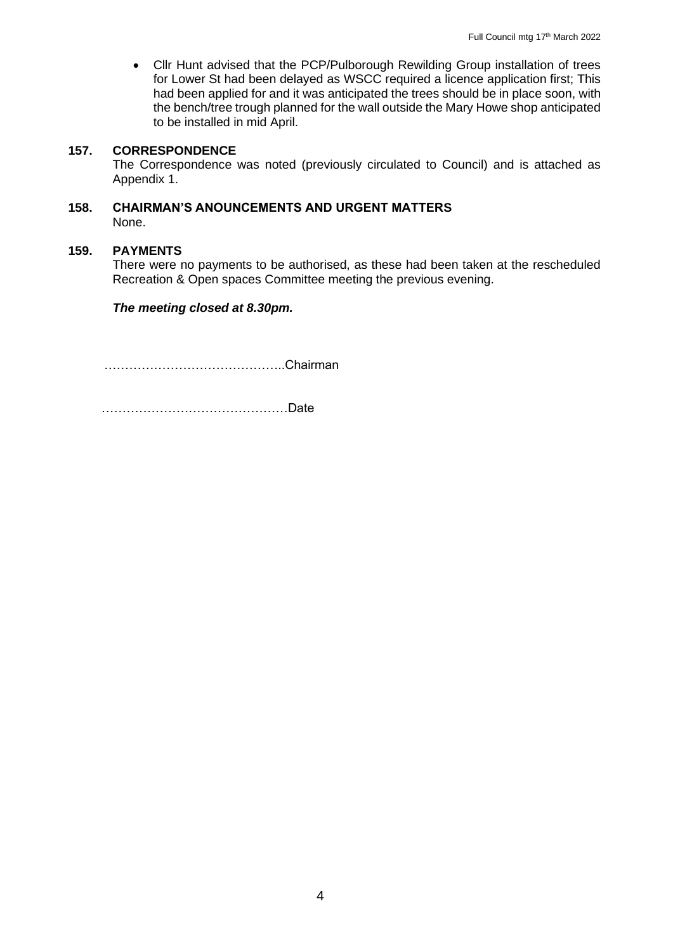• Cllr Hunt advised that the PCP/Pulborough Rewilding Group installation of trees for Lower St had been delayed as WSCC required a licence application first; This had been applied for and it was anticipated the trees should be in place soon, with the bench/tree trough planned for the wall outside the Mary Howe shop anticipated to be installed in mid April.

## **157. CORRESPONDENCE**

The Correspondence was noted (previously circulated to Council) and is attached as Appendix 1.

## **158. CHAIRMAN'S ANOUNCEMENTS AND URGENT MATTERS** None.

#### **159. PAYMENTS**

There were no payments to be authorised, as these had been taken at the rescheduled Recreation & Open spaces Committee meeting the previous evening.

#### *The meeting closed at 8.30pm.*

……………………………………..Chairman

………………………………………Date